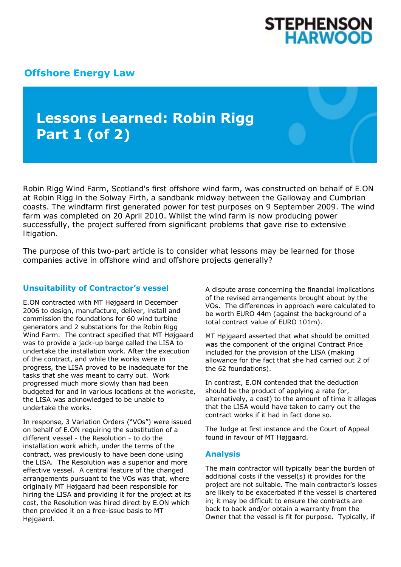

## **[Offshore Energy Law](http://www.offshoreenergylaw.com/)**

# **Lessons Learned: Robin Rigg Part 1 (of 2)**

Robin Rigg Wind Farm, Scotland's first offshore wind farm, was constructed on behalf of E.ON at Robin Rigg in the Solway Firth, a sandbank midway between the Galloway and Cumbrian coasts. The windfarm first generated power for test purposes on 9 September 2009. The wind farm was completed on 20 April 2010. Whilst the wind farm is now producing power successfully, the project suffered from significant problems that gave rise to extensive litigation.

The purpose of this two-part article is to consider what lessons may be learned for those companies active in offshore wind and offshore projects generally?

### **Unsuitability of Contractor's vessel**

E.ON contracted with MT Højgaard in December 2006 to design, manufacture, deliver, install and commission the foundations for 60 wind turbine generators and 2 substations for the Robin Rigg Wind Farm. The contract specified that MT Højgaard was to provide a jack-up barge called the LISA to undertake the installation work. After the execution of the contract, and while the works were in progress, the LISA proved to be inadequate for the tasks that she was meant to carry out. Work progressed much more slowly than had been budgeted for and in various locations at the worksite, the LISA was acknowledged to be unable to undertake the works.

In response, 3 Variation Orders ("VOs") were issued on behalf of E.ON requiring the substitution of a different vessel - the Resolution - to do the installation work which, under the terms of the contract, was previously to have been done using the LISA. The Resolution was a superior and more effective vessel. A central feature of the changed arrangements pursuant to the VOs was that, where originally MT Højgaard had been responsible for hiring the LISA and providing it for the project at its cost, the Resolution was hired direct by E.ON which then provided it on a free-issue basis to MT Højgaard.

A dispute arose concerning the financial implications of the revised arrangements brought about by the VOs. The differences in approach were calculated to be worth EURO 44m (against the background of a total contract value of EURO 101m).

MT Højgaard asserted that what should be omitted was the component of the original Contract Price included for the provision of the LISA (making allowance for the fact that she had carried out 2 of the 62 foundations).

In contrast, E.ON contended that the deduction should be the product of applying a rate (or, alternatively, a cost) to the amount of time it alleges that the LISA would have taken to carry out the contract works if it had in fact done so.

The Judge at first instance and the Court of Appeal found in favour of MT Højgaard.

#### **Analysis**

The main contractor will typically bear the burden of additional costs if the vessel(s) it provides for the project are not suitable. The main contractor's losses are likely to be exacerbated if the vessel is chartered in; it may be difficult to ensure the contracts are back to back and/or obtain a warranty from the Owner that the vessel is fit for purpose. Typically, if